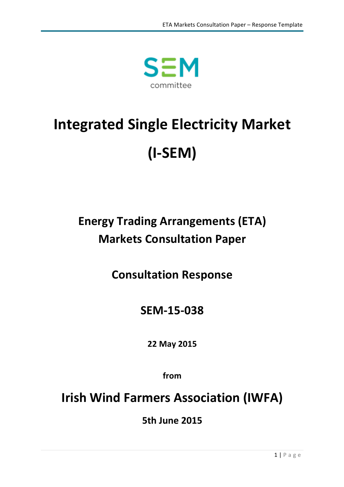

# **Integrated Single Electricity Market (I-SEM)**

## **Energy Trading Arrangements (ETA) Markets Consultation Paper**

**Consultation Response**

**SEM-15-038**

**22 May 2015**

**from**

**Irish Wind Farmers Association (IWFA)** 

**5th June 2015**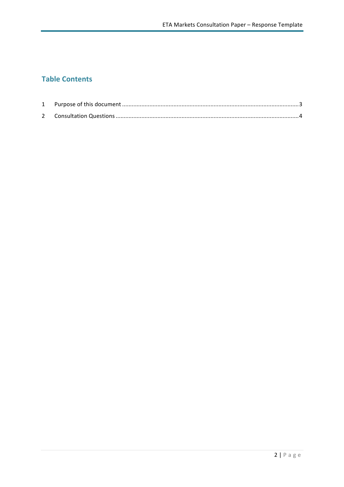## **Table Contents**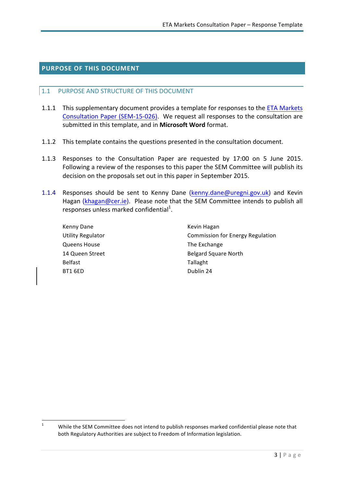## **PURPOSE OF THIS DOCUMENT**

#### 1.1 PURPOSE AND STRUCTURE OF THIS DOCUMENT

- 1.1.1 This supplementary document provides a template for responses to the ETA Markets Consultation Paper (SEM-15-026). We request all responses to the consultation are submitted in this template, and in Microsoft Word format.
- 1.1.2 This template contains the questions presented in the consultation document.
- 1.1.3 Responses to the Consultation Paper are requested by 17:00 on 5 June 2015. Following a review of the responses to this paper the SEM Committee will publish its decision on the proposals set out in this paper in September 2015.
- 1.1.4 Responses should be sent to Kenny Dane (kenny.dane@uregni.gov.uk) and Kevin Hagan (khagan@cer.ie). Please note that the SEM Committee intends to publish all responses unless marked confidential<sup>1</sup>.
	- Kenny Dane **Kevin** Hagan Queens House **The Exchange** Belfast **Belfast Tallaght** BT1 6ED Dublin 24

<u> 1989 - Johann Stein, fransk politik (d. 1989)</u>

Utility Regulator **Commission** for Energy Regulation 14 Queen Street **Belgard** Square North

<sup>&</sup>lt;sup>1</sup> While the SEM Committee does not intend to publish responses marked confidential please note that both Regulatory Authorities are subject to Freedom of Information legislation.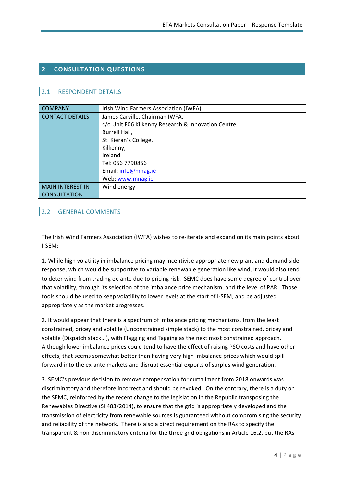## **2 CONSULTATION QUESTIONS**

## 2.1 RESPONDENT DETAILS

| <b>COMPANY</b>          | Irish Wind Farmers Association (IWFA)               |  |
|-------------------------|-----------------------------------------------------|--|
| <b>CONTACT DETAILS</b>  | James Carville, Chairman IWFA,                      |  |
|                         | c/o Unit F06 Kilkenny Research & Innovation Centre, |  |
|                         | Burrell Hall,                                       |  |
|                         | St. Kieran's College,                               |  |
|                         | Kilkenny,                                           |  |
|                         | Ireland                                             |  |
|                         | Tel: 056 7790856                                    |  |
|                         | Email: info@mnag.ie                                 |  |
|                         | Web: www.mnag.ie                                    |  |
| <b>MAIN INTEREST IN</b> | Wind energy                                         |  |
| <b>CONSULTATION</b>     |                                                     |  |

## 2.2 GENERAL COMMENTS

The Irish Wind Farmers Association (IWFA) wishes to re-iterate and expand on its main points about I-SEM:

1. While high volatility in imbalance pricing may incentivise appropriate new plant and demand side response, which would be supportive to variable renewable generation like wind, it would also tend to deter wind from trading ex-ante due to pricing risk. SEMC does have some degree of control over that volatility, through its selection of the imbalance price mechanism, and the level of PAR. Those tools should be used to keep volatility to lower levels at the start of I-SEM, and be adjusted appropriately as the market progresses.

2. It would appear that there is a spectrum of imbalance pricing mechanisms, from the least constrained, pricey and volatile (Unconstrained simple stack) to the most constrained, pricey and volatile (Dispatch stack...), with Flagging and Tagging as the next most constrained approach. Although lower imbalance prices could tend to have the effect of raising PSO costs and have other effects, that seems somewhat better than having very high imbalance prices which would spill forward into the ex-ante markets and disrupt essential exports of surplus wind generation.

3. SEMC's previous decision to remove compensation for curtailment from 2018 onwards was discriminatory and therefore incorrect and should be revoked. On the contrary, there is a duty on the SEMC, reinforced by the recent change to the legislation in the Republic transposing the Renewables Directive (SI 483/2014), to ensure that the grid is appropriately developed and the transmission of electricity from renewable sources is guaranteed without compromising the security and reliability of the network. There is also a direct requirement on the RAs to specify the transparent & non-discriminatory criteria for the three grid obligations in Article 16.2, but the RAs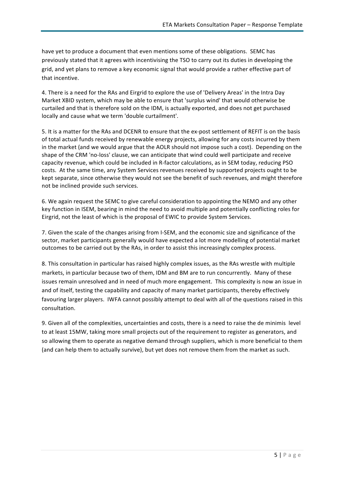have yet to produce a document that even mentions some of these obligations. SEMC has previously stated that it agrees with incentivising the TSO to carry out its duties in developing the grid, and yet plans to remove a key economic signal that would provide a rather effective part of that incentive.

4. There is a need for the RAs and Eirgrid to explore the use of 'Delivery Areas' in the Intra Day Market XBID system, which may be able to ensure that 'surplus wind' that would otherwise be curtailed and that is therefore sold on the IDM, is actually exported, and does not get purchased locally and cause what we term 'double curtailment'.

5. It is a matter for the RAs and DCENR to ensure that the ex-post settlement of REFIT is on the basis of total actual funds received by renewable energy projects, allowing for any costs incurred by them in the market (and we would argue that the AOLR should not impose such a cost). Depending on the shape of the CRM 'no-loss' clause, we can anticipate that wind could well participate and receive capacity revenue, which could be included in R-factor calculations, as in SEM today, reducing PSO costs. At the same time, any System Services revenues received by supported projects ought to be kept separate, since otherwise they would not see the benefit of such revenues, and might therefore not be inclined provide such services.

6. We again request the SEMC to give careful consideration to appointing the NEMO and any other key function in ISEM, bearing in mind the need to avoid multiple and potentially conflicting roles for Eirgrid, not the least of which is the proposal of EWIC to provide System Services.

7. Given the scale of the changes arising from I-SEM, and the economic size and significance of the sector, market participants generally would have expected a lot more modelling of potential market outcomes to be carried out by the RAs, in order to assist this increasingly complex process.

8. This consultation in particular has raised highly complex issues, as the RAs wrestle with multiple markets, in particular because two of them, IDM and BM are to run concurrently. Many of these issues remain unresolved and in need of much more engagement. This complexity is now an issue in and of itself, testing the capability and capacity of many market participants, thereby effectively favouring larger players. IWFA cannot possibly attempt to deal with all of the questions raised in this consultation.

9. Given all of the complexities, uncertainties and costs, there is a need to raise the de minimis level to at least 15MW, taking more small projects out of the requirement to register as generators, and so allowing them to operate as negative demand through suppliers, which is more beneficial to them (and can help them to actually survive), but yet does not remove them from the market as such.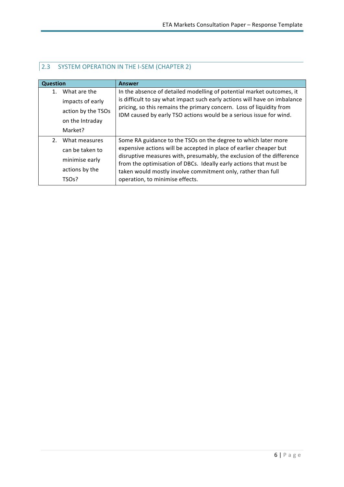| <b>Question</b>                                                                                        | Answer                                                                                                                                                                                                                                                                                                                                                                                |
|--------------------------------------------------------------------------------------------------------|---------------------------------------------------------------------------------------------------------------------------------------------------------------------------------------------------------------------------------------------------------------------------------------------------------------------------------------------------------------------------------------|
| What are the<br>$\mathbf{1}$ .<br>impacts of early<br>action by the TSOs<br>on the Intraday<br>Market? | In the absence of detailed modelling of potential market outcomes, it<br>is difficult to say what impact such early actions will have on imbalance<br>pricing, so this remains the primary concern. Loss of liquidity from<br>IDM caused by early TSO actions would be a serious issue for wind.                                                                                      |
| 2.<br>What measures<br>can be taken to<br>minimise early<br>actions by the<br>TSO <sub>S</sub> ?       | Some RA guidance to the TSOs on the degree to which later more<br>expensive actions will be accepted in place of earlier cheaper but<br>disruptive measures with, presumably, the exclusion of the difference<br>from the optimisation of DBCs. Ideally early actions that must be<br>taken would mostly involve commitment only, rather than full<br>operation, to minimise effects. |

## **2.3 SYSTEM OPERATION IN THE I-SEM (CHAPTER 2)**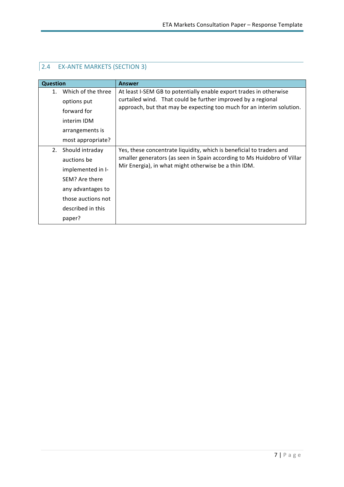| <b>Question</b>               | Answer                                                                  |
|-------------------------------|-------------------------------------------------------------------------|
| Which of the three<br>$1_{-}$ | At least I-SEM GB to potentially enable export trades in otherwise      |
| options put                   | curtailed wind. That could be further improved by a regional            |
| forward for                   | approach, but that may be expecting too much for an interim solution.   |
| interim IDM                   |                                                                         |
| arrangements is               |                                                                         |
| most appropriate?             |                                                                         |
| 2.<br>Should intraday         | Yes, these concentrate liquidity, which is beneficial to traders and    |
| auctions be                   | smaller generators (as seen in Spain according to Ms Huidobro of Villar |
| implemented in I-             | Mir Energia), in what might otherwise be a thin IDM.                    |
| SEM? Are there                |                                                                         |
| any advantages to             |                                                                         |
| those auctions not            |                                                                         |
| described in this             |                                                                         |
| paper?                        |                                                                         |

## 2.4 EX-ANTE MARKETS (SECTION 3)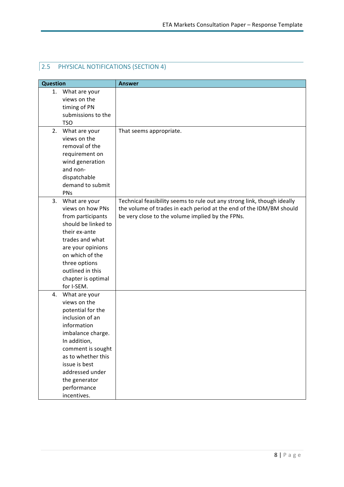## **2.5 PHYSICAL NOTIFICATIONS (SECTION 4)**

| <b>Question</b>                                                                                                                                                                                                                                               | <b>Answer</b>                                                                                                                                                                                      |
|---------------------------------------------------------------------------------------------------------------------------------------------------------------------------------------------------------------------------------------------------------------|----------------------------------------------------------------------------------------------------------------------------------------------------------------------------------------------------|
| What are your<br>1.<br>views on the<br>timing of PN<br>submissions to the<br><b>TSO</b>                                                                                                                                                                       |                                                                                                                                                                                                    |
| 2. What are your<br>views on the<br>removal of the<br>requirement on<br>wind generation<br>and non-<br>dispatchable<br>demand to submit<br>PNs                                                                                                                | That seems appropriate.                                                                                                                                                                            |
| 3.<br>What are your<br>views on how PNs<br>from participants<br>should be linked to<br>their ex-ante<br>trades and what<br>are your opinions<br>on which of the<br>three options<br>outlined in this<br>chapter is optimal<br>for I-SEM.                      | Technical feasibility seems to rule out any strong link, though ideally<br>the volume of trades in each period at the end of the IDM/BM should<br>be very close to the volume implied by the FPNs. |
| What are your<br>4.<br>views on the<br>potential for the<br>inclusion of an<br>information<br>imbalance charge.<br>In addition,<br>comment is sought<br>as to whether this<br>issue is best<br>addressed under<br>the generator<br>performance<br>incentives. |                                                                                                                                                                                                    |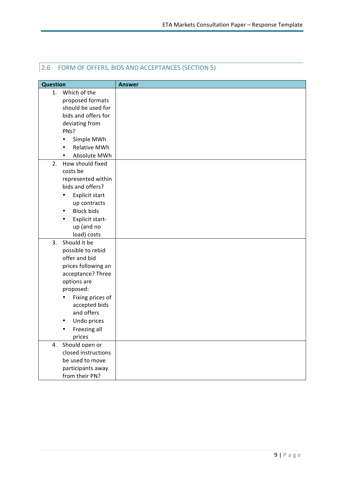| <b>Question</b> |                     | <b>Answer</b> |
|-----------------|---------------------|---------------|
| 1.              | Which of the        |               |
|                 | proposed formats    |               |
|                 | should be used for  |               |
|                 | bids and offers for |               |
|                 | deviating from      |               |
|                 | PNs?                |               |
| $\bullet$       | Simple MWh          |               |
| ٠               | Relative MWh        |               |
| ٠               | Absolute MWh        |               |
| 2.              | How should fixed    |               |
|                 | costs be            |               |
|                 | represented within  |               |
|                 | bids and offers?    |               |
| ٠               | Explicit start      |               |
|                 | up contracts        |               |
| ٠               | <b>Block bids</b>   |               |
|                 | Explicit start-     |               |
|                 | up (and no          |               |
|                 | load) costs         |               |
| 3.              | Should it be        |               |
|                 | possible to rebid   |               |
|                 | offer and bid       |               |
|                 | prices following an |               |
|                 | acceptance? Three   |               |
|                 | options are         |               |
|                 | proposed:           |               |
| ٠               | Fixing prices of    |               |
|                 | accepted bids       |               |
|                 | and offers          |               |
| ٠               | Undo prices         |               |
| ٠               | Freezing all        |               |
|                 | prices              |               |
| 4.              | Should open or      |               |
|                 | closed instructions |               |
|                 | be used to move     |               |
|                 | participants away   |               |
|                 | from their PN?      |               |

## 2.6 FORM OF OFFERS, BIDS AND ACCEPTANCES (SECTION 5)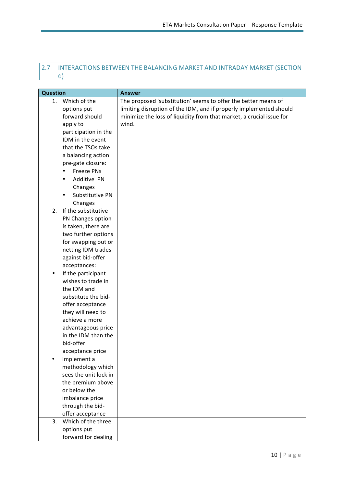## 2.7 INTERACTIONS BETWEEN THE BALANCING MARKET AND INTRADAY MARKET (SECTION 6)

| <b>Question</b> |                              | <b>Answer</b>                                                        |
|-----------------|------------------------------|----------------------------------------------------------------------|
|                 | 1. Which of the              | The proposed 'substitution' seems to offer the better means of       |
|                 | options put                  | limiting disruption of the IDM, and if properly implemented should   |
|                 | forward should               | minimize the loss of liquidity from that market, a crucial issue for |
|                 | apply to                     | wind.                                                                |
|                 | participation in the         |                                                                      |
|                 | IDM in the event             |                                                                      |
|                 | that the TSOs take           |                                                                      |
|                 | a balancing action           |                                                                      |
|                 | pre-gate closure:            |                                                                      |
|                 | <b>Freeze PNs</b>            |                                                                      |
|                 | Additive PN<br>$\bullet$     |                                                                      |
|                 | Changes                      |                                                                      |
|                 | Substitutive PN<br>$\bullet$ |                                                                      |
|                 | Changes                      |                                                                      |
| 2.              | If the substitutive          |                                                                      |
|                 | PN Changes option            |                                                                      |
|                 | is taken, there are          |                                                                      |
|                 | two further options          |                                                                      |
|                 | for swapping out or          |                                                                      |
|                 | netting IDM trades           |                                                                      |
|                 | against bid-offer            |                                                                      |
|                 | acceptances:                 |                                                                      |
| ٠               | If the participant           |                                                                      |
|                 | wishes to trade in           |                                                                      |
|                 | the IDM and                  |                                                                      |
|                 | substitute the bid-          |                                                                      |
|                 | offer acceptance             |                                                                      |
|                 | they will need to            |                                                                      |
|                 | achieve a more               |                                                                      |
|                 | advantageous price           |                                                                      |
|                 | in the IDM than the          |                                                                      |
|                 | bid-offer                    |                                                                      |
|                 | acceptance price             |                                                                      |
|                 | Implement a                  |                                                                      |
|                 | methodology which            |                                                                      |
|                 | sees the unit lock in        |                                                                      |
|                 | the premium above            |                                                                      |
|                 | or below the                 |                                                                      |
|                 | imbalance price              |                                                                      |
|                 | through the bid-             |                                                                      |
|                 | offer acceptance             |                                                                      |
| 3.              | Which of the three           |                                                                      |
|                 | options put                  |                                                                      |
|                 | forward for dealing          |                                                                      |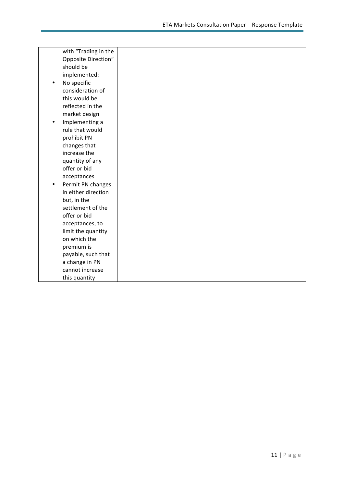| with "Trading in the   |  |
|------------------------|--|
| Opposite Direction"    |  |
| should be              |  |
| implemented:           |  |
| No specific<br>٠       |  |
| consideration of       |  |
| this would be          |  |
| reflected in the       |  |
| market design          |  |
| Implementing a<br>٠    |  |
| rule that would        |  |
| prohibit PN            |  |
| changes that           |  |
| increase the           |  |
| quantity of any        |  |
| offer or bid           |  |
| acceptances            |  |
| Permit PN changes<br>٠ |  |
| in either direction    |  |
| but, in the            |  |
| settlement of the      |  |
| offer or bid           |  |
| acceptances, to        |  |
| limit the quantity     |  |
| on which the           |  |
| premium is             |  |
| payable, such that     |  |
| a change in PN         |  |
| cannot increase        |  |
| this quantity          |  |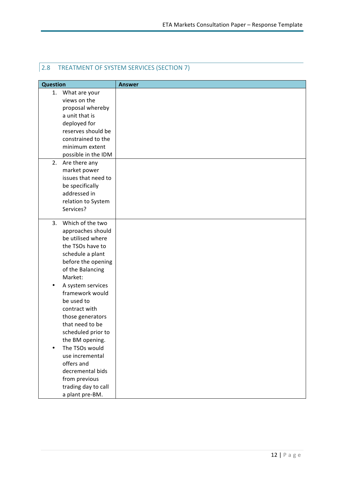## 2.8 TREATMENT OF SYSTEM SERVICES (SECTION 7)

| <b>Question</b>                        | <b>Answer</b> |
|----------------------------------------|---------------|
| What are your<br>1.                    |               |
| views on the                           |               |
| proposal whereby                       |               |
| a unit that is                         |               |
| deployed for                           |               |
| reserves should be                     |               |
| constrained to the                     |               |
| minimum extent                         |               |
| possible in the IDM                    |               |
| 2. Are there any                       |               |
| market power                           |               |
| issues that need to                    |               |
| be specifically                        |               |
| addressed in                           |               |
| relation to System                     |               |
| Services?                              |               |
|                                        |               |
| 3 <sub>1</sub><br>Which of the two     |               |
| approaches should<br>be utilised where |               |
| the TSOs have to                       |               |
|                                        |               |
| schedule a plant                       |               |
| before the opening                     |               |
| of the Balancing<br>Market:            |               |
|                                        |               |
| A system services<br>framework would   |               |
| be used to                             |               |
| contract with                          |               |
| those generators                       |               |
| that need to be                        |               |
| scheduled prior to                     |               |
| the BM opening.                        |               |
| The TSOs would                         |               |
| use incremental                        |               |
| offers and                             |               |
| decremental bids                       |               |
| from previous                          |               |
|                                        |               |
|                                        |               |
| trading day to call<br>a plant pre-BM. |               |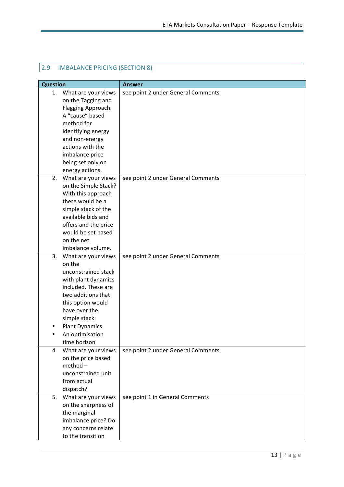| 2.9 | <b>IMBALANCE PRICING (SECTION 8)</b> |  |
|-----|--------------------------------------|--|
|-----|--------------------------------------|--|

| <b>Question</b>                            | <b>Answer</b>                      |
|--------------------------------------------|------------------------------------|
| 1.<br>What are your views                  | see point 2 under General Comments |
| on the Tagging and                         |                                    |
| Flagging Approach.                         |                                    |
| A "cause" based                            |                                    |
| method for                                 |                                    |
| identifying energy                         |                                    |
| and non-energy                             |                                    |
| actions with the                           |                                    |
| imbalance price                            |                                    |
| being set only on                          |                                    |
| energy actions.                            |                                    |
| 2.<br>What are your views                  | see point 2 under General Comments |
| on the Simple Stack?                       |                                    |
| With this approach                         |                                    |
| there would be a                           |                                    |
| simple stack of the                        |                                    |
| available bids and                         |                                    |
| offers and the price                       |                                    |
| would be set based                         |                                    |
| on the net                                 |                                    |
| imbalance volume.                          |                                    |
| 3.<br>What are your views                  | see point 2 under General Comments |
| on the                                     |                                    |
| unconstrained stack                        |                                    |
| with plant dynamics<br>included. These are |                                    |
| two additions that                         |                                    |
| this option would                          |                                    |
| have over the                              |                                    |
| simple stack:                              |                                    |
| <b>Plant Dynamics</b>                      |                                    |
| An optimisation                            |                                    |
| time horizon                               |                                    |
| What are your views<br>4.                  | see point 2 under General Comments |
| on the price based                         |                                    |
| $method -$                                 |                                    |
| unconstrained unit                         |                                    |
| from actual                                |                                    |
| dispatch?                                  |                                    |
| What are your views<br>5.                  | see point 1 in General Comments    |
| on the sharpness of                        |                                    |
| the marginal                               |                                    |
| imbalance price? Do                        |                                    |
| any concerns relate                        |                                    |
| to the transition                          |                                    |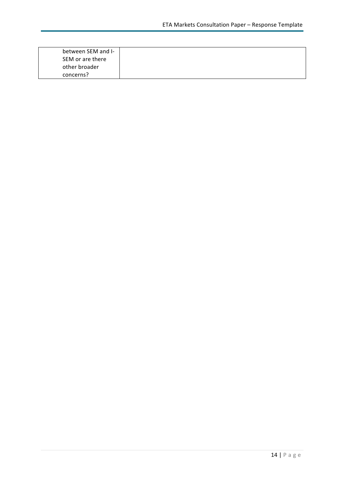| between SEM and I- |
|--------------------|
| SEM or are there   |
| other broader      |
| concerns?          |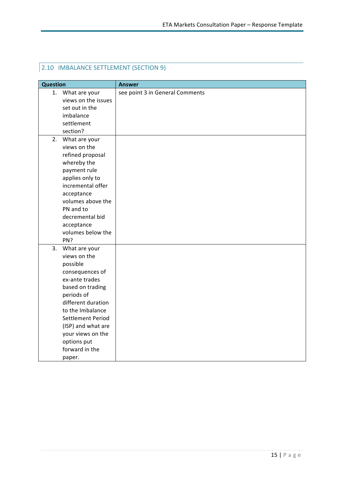## **2.10 IMBALANCE SETTLEMENT (SECTION 9)**

| <b>Question</b> |                     | <b>Answer</b>                   |
|-----------------|---------------------|---------------------------------|
|                 | 1. What are your    | see point 3 in General Comments |
|                 | views on the issues |                                 |
|                 | set out in the      |                                 |
|                 | imbalance           |                                 |
|                 | settlement          |                                 |
|                 | section?            |                                 |
| 2.              | What are your       |                                 |
|                 | views on the        |                                 |
|                 | refined proposal    |                                 |
|                 | whereby the         |                                 |
|                 | payment rule        |                                 |
|                 | applies only to     |                                 |
|                 | incremental offer   |                                 |
|                 | acceptance          |                                 |
|                 | volumes above the   |                                 |
|                 | PN and to           |                                 |
|                 | decremental bid     |                                 |
|                 | acceptance          |                                 |
|                 | volumes below the   |                                 |
|                 | PN?                 |                                 |
| 3.              | What are your       |                                 |
|                 | views on the        |                                 |
|                 | possible            |                                 |
|                 | consequences of     |                                 |
|                 | ex-ante trades      |                                 |
|                 | based on trading    |                                 |
|                 | periods of          |                                 |
|                 | different duration  |                                 |
|                 | to the Imbalance    |                                 |
|                 | Settlement Period   |                                 |
|                 | (ISP) and what are  |                                 |
|                 | your views on the   |                                 |
|                 | options put         |                                 |
|                 | forward in the      |                                 |
|                 | paper.              |                                 |